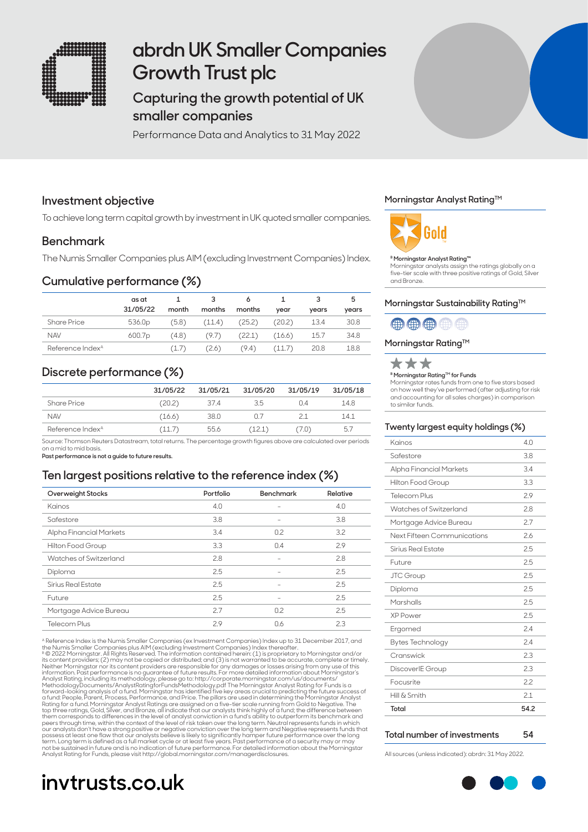

# **abrdn UK Smaller Companies Growth Trust plc**

# **Capturing the growth potential of UK smaller companies**

Performance Data and Analytics to 31 May 2022

### **Investment objective**

To achieve long term capital growth by investment in UK quoted smaller companies.

### **Benchmark**

The Numis Smaller Companies plus AIM (excluding Investment Companies) Index.

### **Cumulative performance (%)**

|                              | as at              |       |        |        |        |       | 5     |
|------------------------------|--------------------|-------|--------|--------|--------|-------|-------|
|                              | 31/05/22           | month | months | months | vear   | vears | years |
| <b>Share Price</b>           | 536.0 <sub>p</sub> | (5.8) | (11.4) | (25.2) | (20.2) | 13.4  | 30.8  |
| <b>NAV</b>                   | 600.7 <sub>p</sub> | (4.8) | (9.7)  | (22.1) | (16.6) | 15.7  | 34.8  |
| Reference Index <sup>A</sup> |                    | (1.7) | (2.6)  | (9.4)  | (11.7) | 20.8  | 18.8  |

## **Discrete performance (%)**

|                              | 31/05/22 | 31/05/21 | 31/05/20 | 31/05/19 | 31/05/18 |
|------------------------------|----------|----------|----------|----------|----------|
| <b>Share Price</b>           | (20.2)   | 37.4     | 3.5      | 04       | 14.8     |
| <b>NAV</b>                   | (16.6)   | 38.0     | n 7      | 21       | 141      |
| Reference Index <sup>A</sup> | 11.7     | 55.6     | [12.1]   | ( /.U )  | 5.7      |

Source: Thomson Reuters Datastream, total returns. The percentage growth figures above are calculated over periods on a mid to mid basis.

**Past performance is not a guide to future results.**

### **Ten largest positions relative to the reference index (%)**

| Overweight Stocks         | Portfolio | <b>Benchmark</b>         | Relative |
|---------------------------|-----------|--------------------------|----------|
| Kainos                    | 4.0       | $\overline{\phantom{0}}$ | 4.0      |
| Safestore                 | 3.8       | $\overline{\phantom{0}}$ | 3.8      |
| Alpha Financial Markets   | 3.4       | 0.2                      | 3.2      |
| Hilton Food Group         | 3.3       | 0.4                      | 2.9      |
| Watches of Switzerland    | 2.8       |                          | 2.8      |
| Diploma                   | 2.5       |                          | 2.5      |
| <b>Sirius Real Estate</b> | 2.5       |                          | 2.5      |
| Future                    | 2.5       | $\overline{\phantom{0}}$ | 2.5      |
| Mortgage Advice Bureau    | 2.7       | 0.2                      | 2.5      |
| Telecom Plus              | 2.9       | 0.6                      | 2.3      |

A Reference Index is the Numis Smaller Companies (ex Investment Companies) Index up to 31 December 2017, and the Numis Smaller Companies plus AIM (excluding Investment Companies) Index thereafter.<br><sup>8</sup> © 2022 Morningstar. All Rights Reserved. The information contained herein: (1) is proprietary to Morningstar and/or<br>its content pr information. Past performance is no guarantee of future results. For more detailed information doout Morningstar's<br>Analyst Rating, including its methodology, please go to: http://corporate.morningstar.com/us/documents/Anal term. Long term is defined as a full market cycle or at least five years. Past performance of a security may or may<br>not be sustained in future and is no indication of future performance. For detailed information about the

# **invtrusts.co.uk**

### **Morningstar Analyst RatingTM**



#### **B Morningstar Analyst Rating™**

Morningstar analysts assign the ratings globally on a five-tier scale with three positive ratings of Gold, Silver and Bronze.

### Morningstar Sustainability Rating<sup>™</sup>

## 曲曲曲曲曲

### **Morningstar Rating™**



**B Morningstar Rating™ for Funds** 

Morningstar rates funds from one to five stars based on how well they've performed (after adjusting for risk and accounting for all sales charges) in comparison to similar funds.

### **Twenty largest equity holdings (%)**

| Kainos                      | 4.0  |
|-----------------------------|------|
| Safestore                   | 3.8  |
| Alpha Financial Markets     | 34   |
| Hilton Food Group           | 3.3  |
| Telecom Plus                | 29   |
| Watches of Switzerland      | 2.8  |
| Mortgage Advice Bureau      | 2.7  |
| Next Fifteen Communications | 2.6  |
| Sirius Real Estate          | 2.5  |
| Future                      | 2.5  |
| <b>JTC Group</b>            | 25   |
| Diploma                     | 25   |
| Marshalls                   | 2.5  |
| <b>XP Power</b>             | 25   |
| Ergomed                     | 24   |
| <b>Bytes Technology</b>     | 2.4  |
| Cranswick                   | 2.3  |
| DiscoverIE Group            | 2.3  |
| Focusrite                   | 2.2  |
| Hill & Smith                | 21   |
| Total                       | 54.2 |

### **Total number of investments 54**

All sources (unless indicated): abrdn: 31 May 2022.

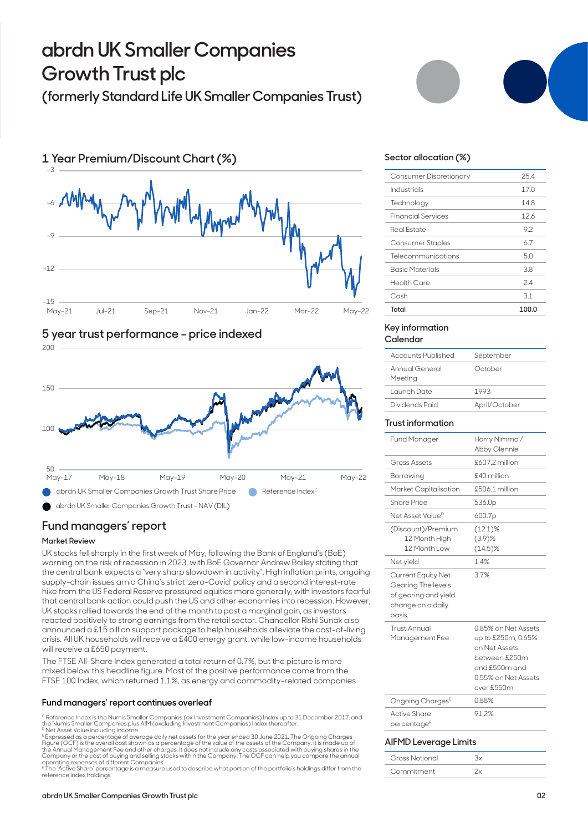# **abrdn UK Smaller Companies Growth Trust plc**

# **(formerly Standard Life UK Smaller Companies Trust)**







## **Fund managers' report**

### **Market Review**

UK stocks fell sharply in the first week of May, following the Bank of England's (BoE) warning on the risk of recession in 2023, with BoE Governor Andrew Bailey stating that the central bank expects a "very sharp slowdown in activity". High inflation prints, ongoing supply-chain issues amid China's strict 'zero-Covid' policy and a second interest-rate hike from the US Federal Reserve pressured equities more generally, with investors fearful that central bank action could push the US and other economies into recession. However, UK stocks rallied towards the end of the month to post a marginal gain, as investors reacted positively to strong earnings from the retail sector. Chancellor Rishi Sunak also announced a £15 billion support package to help households alleviate the cost-of-living crisis. All UK households will receive a £400 energy grant, while low-income households will receive a £650 payment.

The FTSE All-Share Index generated a total return of 0.7%, but the picture is more mixed below this headline figure. Most of the positive performance came from the FTSE 100 Index, which returned 1.1%, as energy and commodity-related companies

### **Fund managers' report continues overleaf**

<sup>c</sup> Reference Index is the Numis Smaller Companies (ex Investment Companies) Index up to 31 December 2017, and<br>the Numis Smaller Companies plus AIM (excluding Investment Companies) Index thereafter.

<sup>p</sup> Net Asset Value including income.<br><sup>E</sup> Expressed as a percentage of average daily net assets for the year ended 30 June 2021. The Ongoing Charges<br>Figure (OCF) is the overall cost shown as a percentage of the value of th the Annual Management Fee and other charges. It does not include any costs associated with buying shares in the<br>Company or the cost of buying and selling stocks within the Company. The OCF can help you compare the annual<br>o

F The 'Active Share' percentage is a measure used to describe what portion of the portfolio's holdings differ from the reference index holdings.

### **Sector allocation (%)**

| Consumer Discretionary    | 254   |
|---------------------------|-------|
| Industrials               | 17.0  |
| Technology                | 14.8  |
| <b>Financial Services</b> | 12.6  |
| Real Estate               | 92    |
| <b>Consumer Staples</b>   | 6.7   |
| Telecommunications        | 50    |
| <b>Basic Materials</b>    | 3.8   |
| Health Care               | 24    |
| Cash                      | 3.1   |
| Total                     | 100.0 |

#### **Key information Calendar**

| Accounts Published        | September     |
|---------------------------|---------------|
| Annual General<br>Meeting | October       |
| Launch Date               | 1993          |
| Dividends Paid            | April/October |
|                           |               |

### **Trust information**

| <b>Fund Manager</b>                                                                                    | Harry Nimmo /<br>Abby Glennie                                                                                                     |
|--------------------------------------------------------------------------------------------------------|-----------------------------------------------------------------------------------------------------------------------------------|
| <b>Gross Assets</b>                                                                                    | £607.2 million                                                                                                                    |
| Borrowing                                                                                              | £40 million                                                                                                                       |
| Market Capitalisation                                                                                  | £506.1 million                                                                                                                    |
| <b>Share Price</b>                                                                                     | 536.0 <sub>p</sub>                                                                                                                |
| Net Asset Value <sup>D</sup>                                                                           | 600.7p                                                                                                                            |
| (Discount)/Premium<br>12 Month High<br>12 Month Low                                                    | $(12.1)\%$<br>$(3.9)$ %<br>$(14.5)\%$                                                                                             |
| Net yield                                                                                              | 14%                                                                                                                               |
| <b>Current Equity Net</b><br>Gearing The levels<br>of gearing and yield<br>change on a daily<br>basis. | 3.7%                                                                                                                              |
| Trust Annual<br>Management Fee                                                                         | 0.85% on Net Assets<br>up to £250m, 0.65%<br>on Net Assets<br>between £250m<br>and £550m and<br>0.55% on Net Assets<br>over £550m |
| Ongoing Charges <sup>E</sup>                                                                           | 0.88%                                                                                                                             |
| <b>Active Share</b>                                                                                    | 91.2%                                                                                                                             |
| percentage <sup>F</sup>                                                                                |                                                                                                                                   |

### **AIFMD Leverage Limits**

| Gross Notional |  |
|----------------|--|
| Commitment     |  |

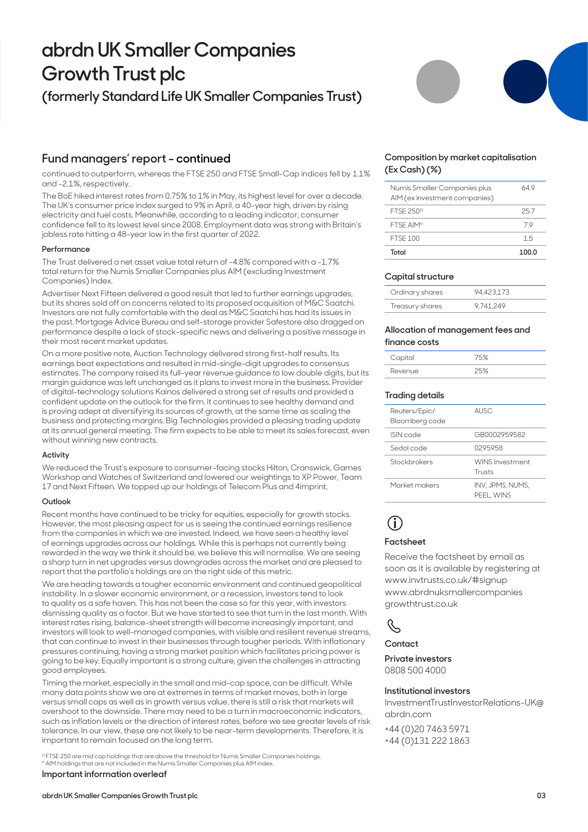# **abrdn UK Smaller Companies Growth Trust plc**

# **(formerly Standard Life UK Smaller Companies Trust)**

## **Fund managers' report - continued**

continued to outperform, whereas the FTSE 250 and FTSE Small-Cap indices fell by 1.1% and -2.1%, respectively.

The BoE hiked interest rates from 0.75% to 1% in May, its highest level for over a decade. The UK's consumer price index surged to 9% in April, a 40-year high, driven by rising electricity and fuel costs. Meanwhile, according to a leading indicator, consumer confidence fell to its lowest level since 2008. Employment data was strong with Britain's jobless rate hitting a 48-year low in the first quarter of 2022.

### **Performance**

The Trust delivered a net asset value total return of -4.8% compared with a -1.7% total return for the Numis Smaller Companies plus AIM (excluding Investment Companies) Index.

Advertiser Next Fifteen delivered a good result that led to further earnings upgrades, but its shares sold off on concerns related to its proposed acquisition of M&C Saatchi. Investors are not fully comfortable with the deal as M&C Saatchi has had its issues in the past. Mortgage Advice Bureau and self-storage provider Safestore also dragged on performance despite a lack of stock-specific news and delivering a positive message in their most recent market updates.

On a more positive note, Auction Technology delivered strong first-half results. Its earnings beat expectations and resulted in mid-single-digit upgrades to consensus estimates. The company raised its full-year revenue guidance to low double digits, but its margin guidance was left unchanged as it plans to invest more in the business. Provider of digital-technology solutions Kainos delivered a strong set of results and provided a confident update on the outlook for the firm. It continues to see healthy demand and is proving adept at diversifying its sources of growth, at the same time as scaling the business and protecting margins. Big Technologies provided a pleasing trading update at its annual general meeting. The firm expects to be able to meet its sales forecast, even without winning new contracts.

### **Activity**

We reduced the Trust's exposure to consumer-facing stocks Hilton, Cranswick, Games Workshop and Watches of Switzerland and lowered our weightings to XP Power, Team 17 and Next Fifteen. We topped up our holdings of Telecom Plus and 4imprint.

### **Outlook**

Recent months have continued to be tricky for equities, especially for growth stocks. However, the most pleasing aspect for us is seeing the continued earnings resilience from the companies in which we are invested. Indeed, we have seen a healthy level of earnings upgrades across our holdings. While this is perhaps not currently being rewarded in the way we think it should be, we believe this will normalise. We are seeing a sharp turn in net upgrades versus downgrades across the market and are pleased to report that the portfolio's holdings are on the right side of this metric.

We are heading towards a tougher economic environment and continued geopolitical instability. In a slower economic environment, or a recession, investors tend to look to quality as a safe haven. This has not been the case so far this year, with investors dismissing quality as a factor. But we have started to see that turn in the last month. With interest rates rising, balance-sheet strength will become increasingly important, and investors will look to well-managed companies, with visible and resilient revenue streams, that can continue to invest in their businesses through tougher periods. With inflationary pressures continuing, having a strong market position which facilitates pricing power is going to be key. Equally important is a strong culture, given the challenges in attracting good employees.

Timing the market, especially in the small and mid-cap space, can be difficult. While many data points show we are at extremes in terms of market moves, both in large versus small caps as well as in growth versus value, there is still a risk that markets will overshoot to the downside. There may need to be a turn in macroeconomic indicators, such as inflation levels or the direction of interest rates, before we see greater levels of risk tolerance. In our view, these are not likely to be near-term developments. Therefore, it is important to remain focused on the long term.

<sup>e</sup>FTSE 250 are mid cap holdings that are above the threshold for Numis Smaller Companies holdings.<br><sup>H</sup> AIM holdings that are not included in the Numis Smaller Companies plus AIM index.

### **Important information overleaf**



### **Composition by market capitalisation (Ex Cash) (%)**

| Total                                                         | 100.0 |
|---------------------------------------------------------------|-------|
| <b>FTSF 100</b>                                               | 1.5   |
| FTSF AIM <sup>H</sup>                                         | 79    |
| <b>FTSF 250<sup>G</sup></b>                                   | 257   |
| Numis Smaller Companies plus<br>AIM (ex investment companies) | 64 9  |

### **Capital structure**

| Ordinary shares | 94.423.173 |
|-----------------|------------|
| Treasury shares | 9.741.249  |

### **Allocation of management fees and finance costs**

| Capital | 15%  |
|---------|------|
| Revenue | つらしょ |

### **Trading details**

| Reuters/Epic/<br>Bloomberg code | AUSC.                            |
|---------------------------------|----------------------------------|
| ISIN code                       | GR0002959582                     |
| Sedol code                      | 0295958                          |
| Stockbrokers                    | <b>WINS Investment</b><br>Trusts |
| Market makers                   | INV. JPMS. NUMS.<br>PEEL, WINS   |

# **i**

### **Factsheet**

Receive the factsheet by email as soon as it is available by registering at www.invtrusts.co.uk/#signup [www.abrdnuksmallercompanies](http://www.abrdnuksmallercompaniesgrowthtrust.co.uk)  [growthtrust.co.uk](http://www.abrdnuksmallercompaniesgrowthtrust.co.uk)

## R,

### **Contact**

**Private investors**  0808 500 4000

### **Institutional investors**

InvestmentTrustInvestorRelations-UK@ abrdn.com

+44 (0)20 7463 5971 +44 (0)131 222 1863